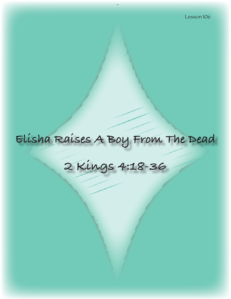# **Elisha Raises A Boy From The Dead**

# **2 Kings 4:18-36**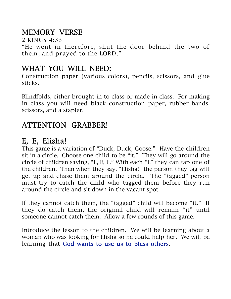# MEMORY VERSE

2 KINGS 4:33

"He went in therefore, shut the door behind the two of them, and prayed to the LORD."

# WHAT YOU WILL NEED:

Construction paper (various colors), pencils, scissors, and glue sticks.

Blindfolds, either brought in to class or made in class. For making in class you will need black construction paper, rubber bands, scissors, and a stapler.

# ATTENTION GRABBER!

# E, E, Elisha!

This game is a variation of "Duck, Duck, Goose." Have the children sit in a circle. Choose one child to be "it." They will go around the circle of children saying, "E, E, E." With each "E" they can tap one of the children. Then when they say, "Elisha!" the person they tag will get up and chase them around the circle. The "tagged" person must try to catch the child who tagged them before they run around the circle and sit down in the vacant spot.

If they cannot catch them, the "tagged" child will become "it." If they do catch them, the original child will remain "it" until someone cannot catch them. Allow a few rounds of this game.

Introduce the lesson to the children. We will be learning about a woman who was looking for Elisha so he could help her. We will be learning that God wants to use us to bless others.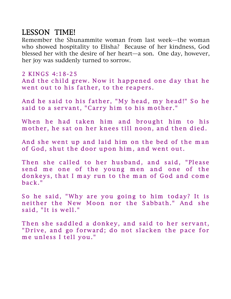# LESSON TIME!

Remember the Shunammite woman from last week—the woman who showed hospitality to Elisha? Because of her kindness, God blessed her with the desire of her heart—a son. One day, however, her joy was suddenly turned to sorrow.

#### 2 KINGS 4:18-25

And the child grew. Now it happened one day that he went out to his father, to the reapers.

And he said to his father, "My head, my head!" So he said to a servant, "Carry him to his mother."

When he had taken him and brought him to his mother, he sat on her knees till noon, and then died.

And she went up and laid him on the bed of the man of God, shut the door upon him, and went out.

Then she called to her husband, and said, "Please send me one of the young men and one of the donkeys, that I may run to the man of God and come  $\text{back.}$ "

So he said, "Why are you going to him today? It is neither the New Moon nor the Sabbath." And she said. "It is well."

Then she saddled a donkey, and said to her servant, "Drive, and go forward; do not slacken the pace for me unless I tell you."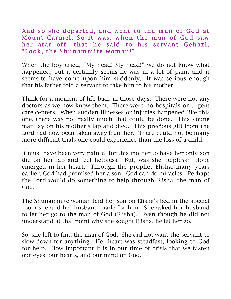And so she departed, and went to the man of God at Mount Carmel. So it was, when the man of God saw her afar off, that he said to his servant Gehazi, "Look, the Shunammite woman!"

When the boy cried, "My head! My head!" we do not know what happened, but it certainly seems he was in a lot of pain, and it seems to have come upon him suddenly. It was serious enough that his father told a servant to take him to his mother.

Think for a moment of life back in those days. There were not any doctors as we now know them. There were no hospitals or urgent care centers. When sudden illnesses or injuries happened like this one, there was not really much that could be done. This young man lay on his mother's lap and died. This precious gift from the Lord had now been taken away from her. There could not be many more difficult trials one could experience than the loss of a child.

It must have been very painful for this mother to have her only son die on her lap and feel helpless. But, was she helpless? Hope emerged in her heart. Through the prophet Elisha, many years earlier, God had promised her a son. God can do miracles. Perhaps the Lord would do something to help through Elisha, the man of God.

The Shunammite woman laid her son on Elisha's bed in the special room she and her husband made for him. She asked her husband to let her go to the man of God (Elisha). Even though he did not understand at that point why she sought Elisha, he let her go.

So, she left to find the man of God. She did not want the servant to slow down for anything. Her heart was steadfast, looking to God for help. How important it is in our time of crisis that we fasten our eyes, our hearts, and our mind on God.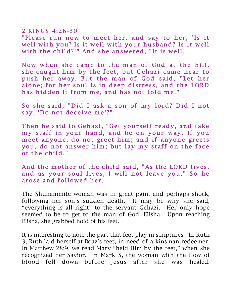### 2 KINGS 4:26-30

"Please run now to meet her, and say to her, 'Is it well with you? Is it well with your husband? Is it well with the child?'" And she answered, "It is well."

Now when she came to the man of God at the hill, she caught him by the feet, but Gehazi came near to push her away. But the man of God said, "Let her alone; for her soul is in deep distress, and the LORD has hidden it from me, and has not told me."

So she said, "Did I ask a son of my lord? Did I not say, 'Do not deceive me'?"

Then he said to Gehazi, "Get yourself ready, and take my staff in your hand, and be on your way. If you meet anyone, do not greet him; and if anyone greets you, do not answer him; but lay my staff on the face of the child. "

And the mother of the child said, "As the LORD lives, and as your soul lives, I will not leave you." So he arose and followed her.

The Shunammite woman was in great pain, and perhaps shock, following her son's sudden death. It may be why she said, "everything is all right" to the servant Gehazi. Her only hope seemed to be to get to the man of God, Elisha. Upon reaching Elisha, she grabbed hold of his feet.

It is interesting to note the part that feet play in scriptures. In Ruth 3, Ruth laid herself at Boaz's feet, in need of a kinsman-redeemer. In Matthew 28:9, we read Mary "held Him by the feet," when she recognized her Savior. In Mark 5, the woman with the flow of blood fell down before Jesus after she was healed.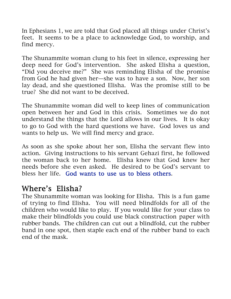In Ephesians 1, we are told that God placed all things under Christ's feet. It seems to be a place to acknowledge God, to worship, and find mercy.

The Shunammite woman clung to his feet in silence, expressing her deep need for God's intervention. She asked Elisha a question, "Did you deceive me?" She was reminding Elisha of the promise from God he had given her—she was to have a son. Now, her son lay dead, and she questioned Elisha. Was the promise still to be true? She did not want to be deceived.

The Shunammite woman did well to keep lines of communication open between her and God in this crisis. Sometimes we do not understand the things that the Lord allows in our lives. It is okay to go to God with the hard questions we have. God loves us and wants to help us. We will find mercy and grace.

As soon as she spoke about her son, Elisha the servant flew into action. Giving instructions to his servant Gehazi first, he followed the woman back to her home. Elisha knew that God knew her needs before she even asked. He desired to be God's servant to bless her life. God wants to use us to bless others.

# Where's Elisha?

The Shunammite woman was looking for Elisha. This is a fun game of trying to find Elisha. You will need blindfolds for all of the children who would like to play. If you would like for your class to make their blindfolds you could use black construction paper with rubber bands. The children can cut out a blindfold, cut the rubber band in one spot, then staple each end of the rubber band to each end of the mask.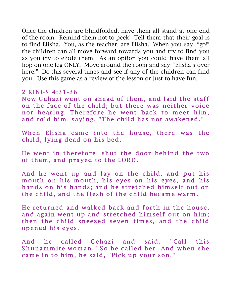Once the children are blindfolded, have them all stand at one end of the room. Remind them not to peek! Tell them that their goal is to find Elisha. You, as the teacher, are Elisha. When you say, "go!" the children can all move forward towards you and try to find you as you try to elude them. As an option you could have them all hop on one leg ONLY. Move around the room and say "Elisha's over here!" Do this several times and see if any of the children can find you. Use this game as a review of the lesson or just to have fun.

#### 2 KINGS  $4:31-36$

Now Gehazi went on ahead of them, and laid the staff on the face of the child; but there was neither voice nor hearing. Therefore he went back to meet him, and told him, saying, "The child has not awakened."

When Elisha came into the house, there was the child, lying dead on his bed.

He went in therefore, shut the door behind the two of them, and prayed to the LORD.

And he went up and lay on the child, and put his mouth on his mouth, his eyes on his eyes, and his hands on his hands; and he stretched himself out on the child, and the flesh of the child became warm.

He returned and walked back and forth in the house, and again went up and stretched himself out on him; then the child sneezed seven times, and the child opened his eyes.

And he called Gehazi and said, "Call this Shunam mite wom an." So he called her. And when she came in to him, he said, "Pick up your son."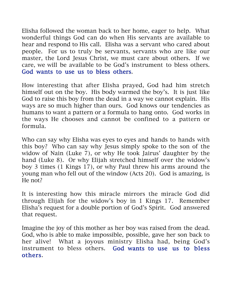Elisha followed the woman back to her home, eager to help. What wonderful things God can do when His servants are available to hear and respond to His call. Elisha was a servant who cared about people. For us to truly be servants, servants who are like our master, the Lord Jesus Christ, we must care about others. If we care, we will be available to be God's instrument to bless others. God wants to use us to bless others.

How interesting that after Elisha prayed, God had him stretch himself out on the boy. His body warmed the boy's. It is just like God to raise this boy from the dead in a way we cannot explain. His ways are so much higher than ours. God knows our tendencies as humans to want a pattern or a formula to hang onto. God works in the ways He chooses and cannot be confined to a pattern or formula.

Who can say why Elisha was eyes to eyes and hands to hands with this boy? Who can say why Jesus simply spoke to the son of the widow of Nain (Luke 7), or why He took Jairus' daughter by the hand (Luke 8). Or why Elijah stretched himself over the widow's boy 3 times (1 Kings 17), or why Paul threw his arms around the young man who fell out of the window (Acts 20). God is amazing, is He not?

It is interesting how this miracle mirrors the miracle God did through Elijah for the widow's boy in 1 Kings 17. Remember Elisha's request for a double portion of God's Spirit. God answered that request.

Imagine the joy of this mother as her boy was raised from the dead. God, who is able to make impossible, possible, gave her son back to her alive! What a joyous ministry Elisha had, being God's instrument to bless others. God wants to use us to bless others.